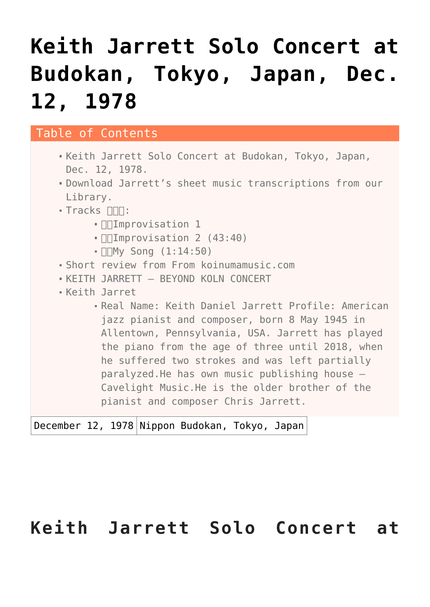# **[Keith Jarrett Solo Concert at](https://sheetmusiclibrary.website/2022/03/26/keith-jarrett-solo-concert/) [Budokan, Tokyo, Japan, Dec.](https://sheetmusiclibrary.website/2022/03/26/keith-jarrett-solo-concert/) [12, 1978](https://sheetmusiclibrary.website/2022/03/26/keith-jarrett-solo-concert/)**

#### Table of Contents

- [Keith Jarrett Solo Concert at Budokan, Tokyo, Japan,](#page--1-0) [Dec. 12, 1978.](#page--1-0)
- [Download Jarrett's sheet music transcriptions from our](#page--1-0) [Library.](#page--1-0)
- Tracks NNN:
	- · **InImprovisation 1**
	- ·  $\Pi$  mprovisation 2 (43:40)
	- $\blacksquare$   $\blacksquare$   $\blacksquare$   $\blacksquare$   $\blacksquare$   $\blacksquare$   $\blacksquare$   $\blacksquare$   $\blacksquare$   $\blacksquare$   $\blacksquare$   $\blacksquare$   $\blacksquare$   $\blacksquare$   $\blacksquare$   $\blacksquare$   $\blacksquare$   $\blacksquare$   $\blacksquare$   $\blacksquare$   $\blacksquare$   $\blacksquare$   $\blacksquare$   $\blacksquare$   $\blacksquare$   $\blacksquare$   $\blacksquare$   $\blacksquare$   $\blacksquare$   $\blacksquare$   $\blacksquare$   $\blacks$
- [Short review from From koinumamusic.com](#page--1-0)
- [KEITH JARRETT BEYOND KOLN CONCERT](#page--1-0)
- [Keith Jarret](#page--1-0)
	- [Real Name: Keith Daniel Jarrett Profile: American](#page--1-0) [jazz pianist and composer, born 8 May 1945 in](#page--1-0) [Allentown, Pennsylvania, USA. Jarrett has played](#page--1-0) [the piano from the age of three until 2018, when](#page--1-0) [he suffered two strokes and was left partially](#page--1-0) [paralyzed.He has own music publishing house –](#page--1-0) [Cavelight Music.He is the older brother of the](#page--1-0) [pianist and composer Chris Jarrett.](#page--1-0)

December 12, 1978 Nippon Budokan, Tokyo, Japan

### **Keith Jarrett Solo Concert at**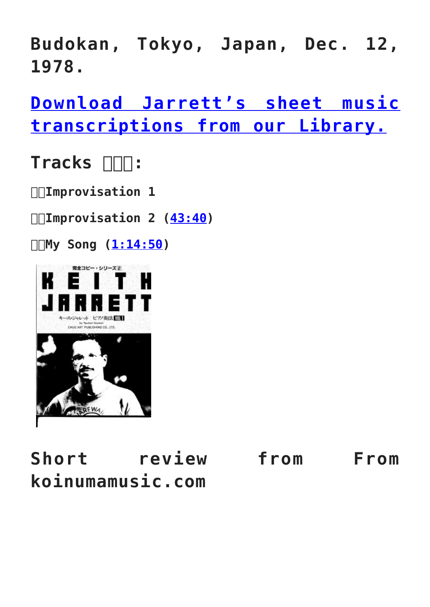**Budokan, Tokyo, Japan, Dec. 12, 1978.**

**[Download Jarrett's sheet music](https://sheetmusiclibrary.website/jazz-soul-boogie-gospel-blues-piano-sheet-music-pdf/) [transcriptions from our Library.](https://sheetmusiclibrary.website/jazz-soul-boogie-gospel-blues-piano-sheet-music-pdf/)**

## Tracks  $\Box\Box$ :

**1.Improvisation 1**

**2.Improvisation 2 ([43:40](https://www.youtube.com/watch?v=rAMRHJ5otx8&t=2620s))**

**3.My Song [\(1:14:50](https://www.youtube.com/watch?v=rAMRHJ5otx8&t=4490s))**



**Short review from From koinumamusic.com**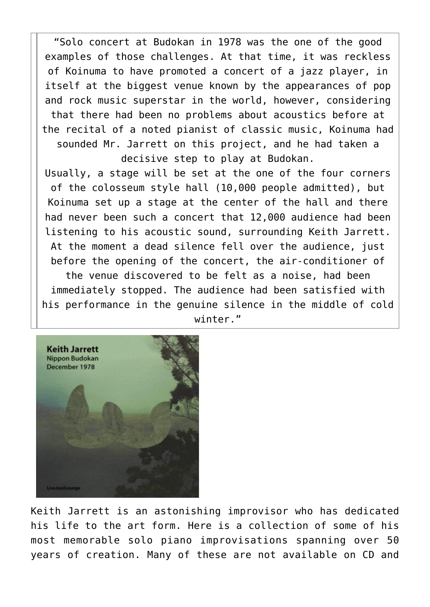"Solo concert at Budokan in 1978 was the one of the good examples of those challenges. At that time, it was reckless of Koinuma to have promoted a concert of a jazz player, in itself at the biggest venue known by the appearances of pop and rock music superstar in the world, however, considering that there had been no problems about acoustics before at the recital of a noted pianist of classic music, Koinuma had sounded Mr. Jarrett on this project, and he had taken a decisive step to play at Budokan.

Usually, a stage will be set at the one of the four corners of the colosseum style hall (10,000 people admitted), but Koinuma set up a stage at the center of the hall and there had never been such a concert that 12,000 audience had been listening to his acoustic sound, surrounding Keith Jarrett. At the moment a dead silence fell over the audience, just before the opening of the concert, the air-conditioner of the venue discovered to be felt as a noise, had been immediately stopped. The audience had been satisfied with his performance in the genuine silence in the middle of cold winter."



Keith Jarrett is an astonishing improvisor who has dedicated his life to the art form. Here is a collection of some of his most memorable solo piano improvisations spanning over 50 years of creation. Many of these are not available on CD and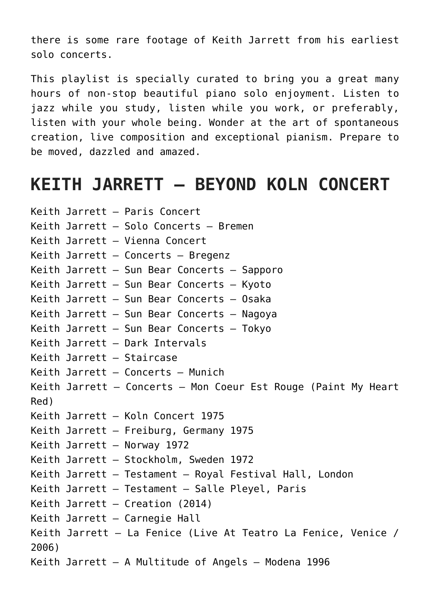there is some rare footage of Keith Jarrett from his earliest solo concerts.

This playlist is specially curated to bring you a great many hours of non-stop beautiful piano solo enjoyment. Listen to jazz while you study, listen while you work, or preferably, listen with your whole being. Wonder at the art of spontaneous creation, live composition and exceptional pianism. Prepare to be moved, dazzled and amazed.

#### **KEITH JARRETT – BEYOND KOLN CONCERT**

Keith Jarrett – Paris Concert Keith Jarrett – Solo Concerts – Bremen Keith Jarrett – Vienna Concert Keith Jarrett – Concerts – Bregenz Keith Jarrett – Sun Bear Concerts – Sapporo Keith Jarrett – Sun Bear Concerts – Kyoto Keith Jarrett – Sun Bear Concerts – Osaka Keith Jarrett – Sun Bear Concerts – Nagoya Keith Jarrett – Sun Bear Concerts – Tokyo Keith Jarrett – Dark Intervals Keith Jarrett – Staircase Keith Jarrett – Concerts – Munich Keith Jarrett – Concerts – Mon Coeur Est Rouge (Paint My Heart Red) Keith Jarrett – Koln Concert 1975 Keith Jarrett – Freiburg, Germany 1975 Keith Jarrett – Norway 1972 Keith Jarrett – Stockholm, Sweden 1972 Keith Jarrett – Testament – Royal Festival Hall, London Keith Jarrett – Testament – Salle Pleyel, Paris Keith Jarrett – Creation (2014) Keith Jarrett – Carnegie Hall Keith Jarrett – La Fenice (Live At Teatro La Fenice, Venice / 2006) Keith Jarrett – A Multitude of Angels – Modena 1996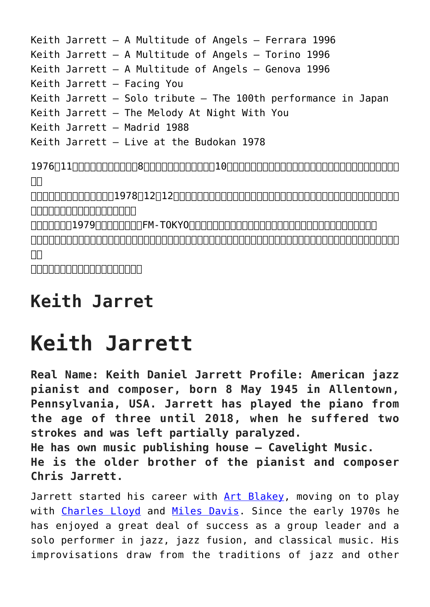```
Keith Jarrett – A Multitude of Angels – Ferrara 1996
Keith Jarrett – A Multitude of Angels – Torino 1996
Keith Jarrett – A Multitude of Angels – Genova 1996
Keith Jarrett – Facing You
Keith Jarrett – Solo tribute – The 100th performance in Japan
Keith Jarrett – The Melody At Night With You
Keith Jarrett – Madrid 1988
Keith Jarrett – Live at the Budokan 1978
1976年11月の日本ツアーで行った8公演すべてを録音し、後に10枚組レコード『サンベア・コンサート』としてリリースしたキー
```
 $\Box$ 以後ソロを封印していた彼が、1978年12月12日、日本のファンのために一夜限りのコンサートをジャズ演奏家としては当時会場と

 $\begin{bmatrix} \begin{bmatrix} \begin{bmatrix} \begin{bmatrix} \begin{bmatrix} \begin{bmatrix} \begin{bmatrix} \begin{bmatrix} \begin{bmatrix} \begin{bmatrix} \begin{bmatrix} \begin{bmatrix} \begin{bmatrix} \begin{bmatrix} \begin{bmatrix} \begin{bmatrix} \begin{bmatrix} \begin{bmatrix} \begin{bmatrix} \begin{bmatrix} \begin{bmatrix} \begin{bmatrix} \begin{bmatrix} \begin{bmatrix} \begin{bmatrix} \begin{bmatrix} \begin{bmatrix} \begin{bmatrix} \begin{bmatrix} \begin{bmatrix} \begin{bmatrix} \begin{bmatrix} \begin{bmatrix} \begin{bmatrix} \begin{bmatrix} \begin{bmatrix} \begin{b$ 

conditional 1979 The TOKYON TORYON TO THE TORY OF THE TANGED TO THE TANGED TO THE TANGER TO THE TABLE TO THE T

既にほかの人が公開していますが、途中音が小さくなりノイズが混じる症状が出ていたので、私が録音した当時のカセットを使い作りまし  $\Box$ 

<u>nonononononono</u>

## **Keith Jarret**

# **Keith Jarrett**

**Real Name: Keith Daniel Jarrett Profile: American jazz pianist and composer, born 8 May 1945 in Allentown, Pennsylvania, USA. Jarrett has played the piano from the age of three until 2018, when he suffered two strokes and was left partially paralyzed. He has own music publishing house – Cavelight Music.**

**He is the older brother of the pianist and composer Chris Jarrett.**

Jarrett started his career with [Art Blakey,](https://en.wikipedia.org/wiki/Art_Blakey) moving on to play with [Charles Lloyd](https://en.wikipedia.org/wiki/Charles_Lloyd_(jazz_musician)) and [Miles Davis](https://en.wikipedia.org/wiki/Miles_Davis). Since the early 1970s he has enjoyed a great deal of success as a group leader and a solo performer in jazz, jazz fusion, and classical music. His improvisations draw from the traditions of jazz and other